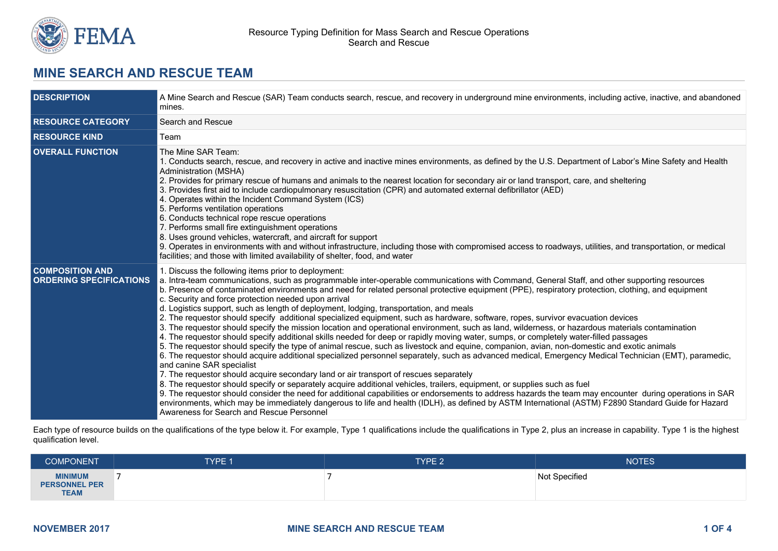

# **MINE SEARCH AND RESCUE TEAM**

| <b>DESCRIPTION</b>                                       | A Mine Search and Rescue (SAR) Team conducts search, rescue, and recovery in underground mine environments, including active, inactive, and abandoned<br>mines.                                                                                                                                                                                                                                                                                                                                                                                                                                                                                                                                                                                                                                                                                                                                                                                                                                                                                                                                                                                                                                                                                                                                                                                                                                                                                                                                                                                                                                                                                                                                                                                                                                                                                                       |  |  |
|----------------------------------------------------------|-----------------------------------------------------------------------------------------------------------------------------------------------------------------------------------------------------------------------------------------------------------------------------------------------------------------------------------------------------------------------------------------------------------------------------------------------------------------------------------------------------------------------------------------------------------------------------------------------------------------------------------------------------------------------------------------------------------------------------------------------------------------------------------------------------------------------------------------------------------------------------------------------------------------------------------------------------------------------------------------------------------------------------------------------------------------------------------------------------------------------------------------------------------------------------------------------------------------------------------------------------------------------------------------------------------------------------------------------------------------------------------------------------------------------------------------------------------------------------------------------------------------------------------------------------------------------------------------------------------------------------------------------------------------------------------------------------------------------------------------------------------------------------------------------------------------------------------------------------------------------|--|--|
| <b>RESOURCE CATEGORY</b>                                 | Search and Rescue                                                                                                                                                                                                                                                                                                                                                                                                                                                                                                                                                                                                                                                                                                                                                                                                                                                                                                                                                                                                                                                                                                                                                                                                                                                                                                                                                                                                                                                                                                                                                                                                                                                                                                                                                                                                                                                     |  |  |
| <b>RESOURCE KIND</b>                                     | Team                                                                                                                                                                                                                                                                                                                                                                                                                                                                                                                                                                                                                                                                                                                                                                                                                                                                                                                                                                                                                                                                                                                                                                                                                                                                                                                                                                                                                                                                                                                                                                                                                                                                                                                                                                                                                                                                  |  |  |
| <b>OVERALL FUNCTION</b>                                  | The Mine SAR Team:<br>1. Conducts search, rescue, and recovery in active and inactive mines environments, as defined by the U.S. Department of Labor's Mine Safety and Health<br>Administration (MSHA)<br>2. Provides for primary rescue of humans and animals to the nearest location for secondary air or land transport, care, and sheltering<br>3. Provides first aid to include cardiopulmonary resuscitation (CPR) and automated external defibrillator (AED)<br>4. Operates within the Incident Command System (ICS)<br>5. Performs ventilation operations<br>6. Conducts technical rope rescue operations<br>7. Performs small fire extinguishment operations<br>8. Uses ground vehicles, watercraft, and aircraft for support<br>9. Operates in environments with and without infrastructure, including those with compromised access to roadways, utilities, and transportation, or medical<br>facilities; and those with limited availability of shelter, food, and water                                                                                                                                                                                                                                                                                                                                                                                                                                                                                                                                                                                                                                                                                                                                                                                                                                                                                  |  |  |
| <b>COMPOSITION AND</b><br><b>ORDERING SPECIFICATIONS</b> | 1. Discuss the following items prior to deployment:<br>a. Intra-team communications, such as programmable inter-operable communications with Command, General Staff, and other supporting resources<br>b. Presence of contaminated environments and need for related personal protective equipment (PPE), respiratory protection, clothing, and equipment<br>c. Security and force protection needed upon arrival<br>d. Logistics support, such as length of deployment, lodging, transportation, and meals<br>2. The requestor should specify additional specialized equipment, such as hardware, software, ropes, survivor evacuation devices<br>3. The requestor should specify the mission location and operational environment, such as land, wilderness, or hazardous materials contamination<br>4. The requestor should specify additional skills needed for deep or rapidly moving water, sumps, or completely water-filled passages<br>5. The requestor should specify the type of animal rescue, such as livestock and equine, companion, avian, non-domestic and exotic animals<br>6. The requestor should acquire additional specialized personnel separately, such as advanced medical, Emergency Medical Technician (EMT), paramedic,<br>and canine SAR specialist<br>7. The requestor should acquire secondary land or air transport of rescues separately<br>8. The requestor should specify or separately acquire additional vehicles, trailers, equipment, or supplies such as fuel<br>9. The requestor should consider the need for additional capabilities or endorsements to address hazards the team may encounter during operations in SAR<br>environments, which may be immediately dangerous to life and health (IDLH), as defined by ASTM International (ASTM) F2890 Standard Guide for Hazard<br>Awareness for Search and Rescue Personnel |  |  |

Each type of resource builds on the qualifications of the type below it. For example, Type 1 qualifications include the qualifications in Type 2, plus an increase in capability. Type 1 is the highest qualification level.

| <b>COMPONENT</b>                                      | <b>TYPE 1</b> | TYPE <sub>2</sub> | <b>NOTES</b>  |
|-------------------------------------------------------|---------------|-------------------|---------------|
| <b>MINIMUM</b><br><b>PERSONNEL PER</b><br><b>TEAM</b> |               |                   | Not Specified |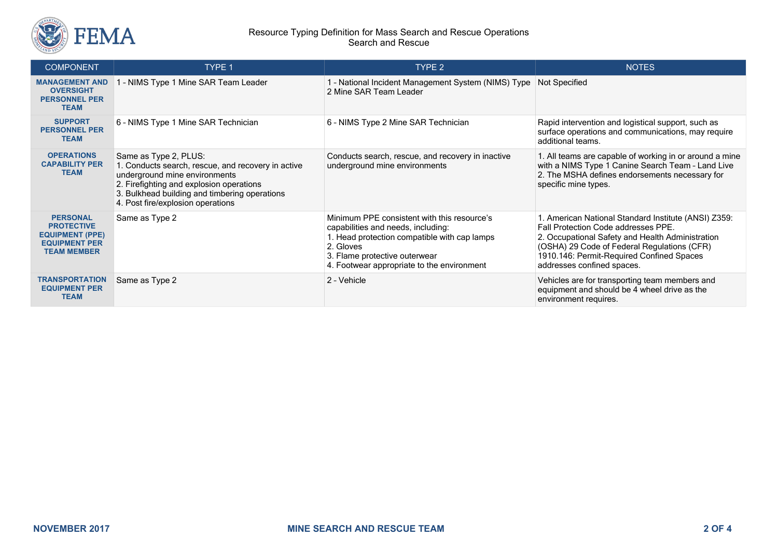

#### Resource Typing Definition for Mass Search and Rescue Operations Search and Rescue

| <b>COMPONENT</b>                                                                                             | <b>TYPE 1</b>                                                                                                                                                                                                                                  | TYPE 2                                                                                                                                                                                                                        | <b>NOTES</b>                                                                                                                                                                                                                                                              |
|--------------------------------------------------------------------------------------------------------------|------------------------------------------------------------------------------------------------------------------------------------------------------------------------------------------------------------------------------------------------|-------------------------------------------------------------------------------------------------------------------------------------------------------------------------------------------------------------------------------|---------------------------------------------------------------------------------------------------------------------------------------------------------------------------------------------------------------------------------------------------------------------------|
| <b>MANAGEMENT AND</b><br><b>OVERSIGHT</b><br><b>PERSONNEL PER</b><br><b>TEAM</b>                             | 1 - NIMS Type 1 Mine SAR Team Leader                                                                                                                                                                                                           | 1 - National Incident Management System (NIMS) Type Not Specified<br>2 Mine SAR Team Leader                                                                                                                                   |                                                                                                                                                                                                                                                                           |
| <b>SUPPORT</b><br><b>PERSONNEL PER</b><br><b>TEAM</b>                                                        | 6 - NIMS Type 1 Mine SAR Technician                                                                                                                                                                                                            | 6 - NIMS Type 2 Mine SAR Technician                                                                                                                                                                                           | Rapid intervention and logistical support, such as<br>surface operations and communications, may require<br>additional teams.                                                                                                                                             |
| <b>OPERATIONS</b><br><b>CAPABILITY PER</b><br><b>TEAM</b>                                                    | Same as Type 2, PLUS:<br>1. Conducts search, rescue, and recovery in active<br>underground mine environments<br>2. Firefighting and explosion operations<br>3. Bulkhead building and timbering operations<br>4. Post fire/explosion operations | Conducts search, rescue, and recovery in inactive<br>underground mine environments                                                                                                                                            | 1. All teams are capable of working in or around a mine<br>with a NIMS Type 1 Canine Search Team - Land Live<br>2. The MSHA defines endorsements necessary for<br>specific mine types.                                                                                    |
| <b>PERSONAL</b><br><b>PROTECTIVE</b><br><b>EQUIPMENT (PPE)</b><br><b>EQUIPMENT PER</b><br><b>TEAM MEMBER</b> | Same as Type 2                                                                                                                                                                                                                                 | Minimum PPE consistent with this resource's<br>capabilities and needs, including:<br>1. Head protection compatible with cap lamps<br>2. Gloves<br>3. Flame protective outerwear<br>4. Footwear appropriate to the environment | 1. American National Standard Institute (ANSI) Z359:<br>Fall Protection Code addresses PPE.<br>2. Occupational Safety and Health Administration<br>(OSHA) 29 Code of Federal Regulations (CFR)<br>1910.146: Permit-Required Confined Spaces<br>addresses confined spaces. |
| <b>TRANSPORTATION</b><br><b>EQUIPMENT PER</b><br><b>TEAM</b>                                                 | Same as Type 2                                                                                                                                                                                                                                 | 2 - Vehicle                                                                                                                                                                                                                   | Vehicles are for transporting team members and<br>equipment and should be 4 wheel drive as the<br>environment requires.                                                                                                                                                   |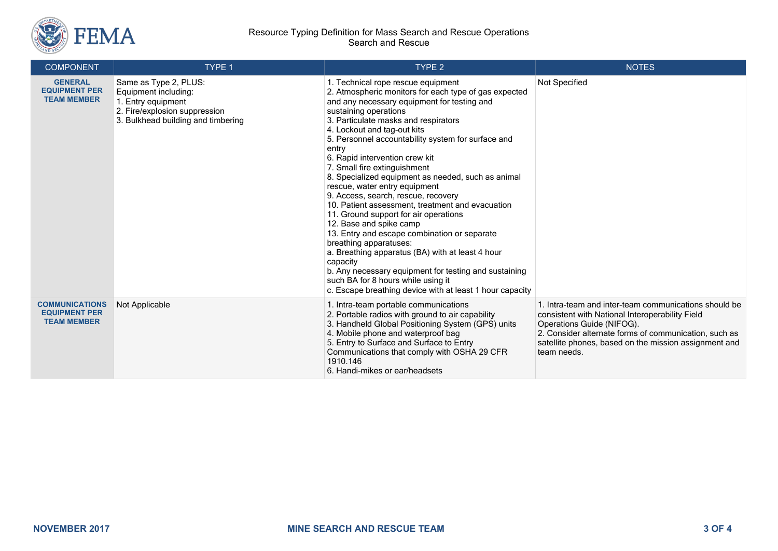

#### Resource Typing Definition for Mass Search and Rescue Operations Search and Rescue

| <b>COMPONENT</b>                                                    | TYPE 1                                                                                                                                     | <b>TYPE 2</b>                                                                                                                                                                                                                                                                                                                                                                                                                                                                                                                                                                                                                                                                                                                                                                                                                                                                                                                          | <b>NOTES</b>                                                                                                                                                                                                                                                           |
|---------------------------------------------------------------------|--------------------------------------------------------------------------------------------------------------------------------------------|----------------------------------------------------------------------------------------------------------------------------------------------------------------------------------------------------------------------------------------------------------------------------------------------------------------------------------------------------------------------------------------------------------------------------------------------------------------------------------------------------------------------------------------------------------------------------------------------------------------------------------------------------------------------------------------------------------------------------------------------------------------------------------------------------------------------------------------------------------------------------------------------------------------------------------------|------------------------------------------------------------------------------------------------------------------------------------------------------------------------------------------------------------------------------------------------------------------------|
| <b>GENERAL</b><br><b>EQUIPMENT PER</b><br><b>TEAM MEMBER</b>        | Same as Type 2, PLUS:<br>Equipment including:<br>1. Entry equipment<br>2. Fire/explosion suppression<br>3. Bulkhead building and timbering | 1. Technical rope rescue equipment<br>2. Atmospheric monitors for each type of gas expected<br>and any necessary equipment for testing and<br>sustaining operations<br>3. Particulate masks and respirators<br>4. Lockout and tag-out kits<br>5. Personnel accountability system for surface and<br>entry<br>6. Rapid intervention crew kit<br>7. Small fire extinguishment<br>8. Specialized equipment as needed, such as animal<br>rescue, water entry equipment<br>9. Access, search, rescue, recovery<br>10. Patient assessment, treatment and evacuation<br>11. Ground support for air operations<br>12. Base and spike camp<br>13. Entry and escape combination or separate<br>breathing apparatuses:<br>a. Breathing apparatus (BA) with at least 4 hour<br>capacity<br>b. Any necessary equipment for testing and sustaining<br>such BA for 8 hours while using it<br>c. Escape breathing device with at least 1 hour capacity | Not Specified                                                                                                                                                                                                                                                          |
| <b>COMMUNICATIONS</b><br><b>EQUIPMENT PER</b><br><b>TEAM MEMBER</b> | Not Applicable                                                                                                                             | 1. Intra-team portable communications<br>2. Portable radios with ground to air capability<br>3. Handheld Global Positioning System (GPS) units<br>4. Mobile phone and waterproof bag<br>5. Entry to Surface and Surface to Entry<br>Communications that comply with OSHA 29 CFR<br>1910.146<br>6. Handi-mikes or ear/headsets                                                                                                                                                                                                                                                                                                                                                                                                                                                                                                                                                                                                          | 1. Intra-team and inter-team communications should be<br>consistent with National Interoperability Field<br>Operations Guide (NIFOG).<br>2. Consider alternate forms of communication, such as<br>satellite phones, based on the mission assignment and<br>team needs. |